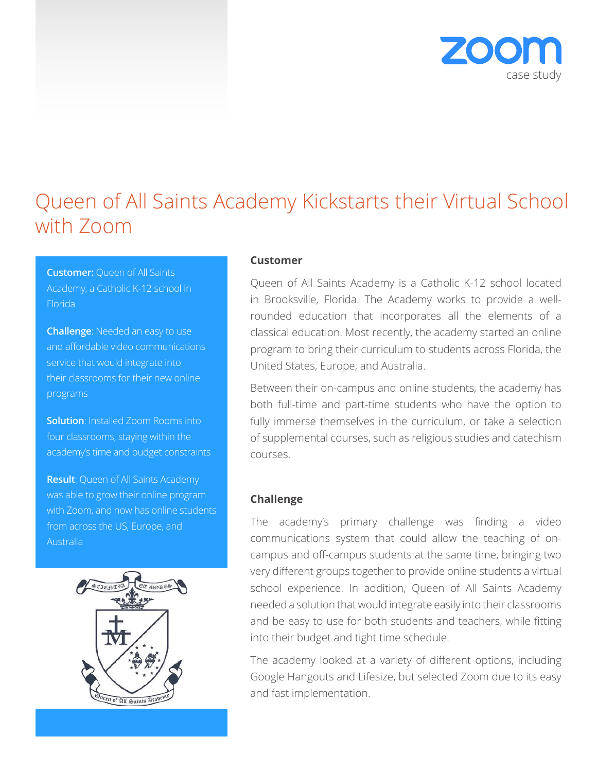

# Queen of All Saints Academy Kickstarts their Virtual School with Zoom

**Customer:** Queen of All Saints Academy, a Catholic K-12 school in Florida

**Challenge**: Needed an easy to use and affordable video communications service that would integrate into their classrooms for their new online programs

**Solution**: Installed Zoom Rooms into four classrooms, staying within the academy's time and budget constraints

**Result**: Queen of All Saints Academy was able to grow their online program with Zoom, and now has online students from across the US, Europe, and Australia



### **Customer**

Queen of All Saints Academy is a Catholic K-12 school located in Brooksville, Florida. The Academy works to provide a wellrounded education that incorporates all the elements of a classical education. Most recently, the academy started an online program to bring their curriculum to students across Florida, the United States, Europe, and Australia.

Between their on-campus and online students, the academy has both full-time and part-time students who have the option to fully immerse themselves in the curriculum, or take a selection of supplemental courses, such as religious studies and catechism courses.

### **Challenge**

The academy's primary challenge was finding a video communications system that could allow the teaching of oncampus and off-campus students at the same time, bringing two very different groups together to provide online students a virtual school experience. In addition, Queen of All Saints Academy needed a solution that would integrate easily into their classrooms and be easy to use for both students and teachers, while fitting into their budget and tight time schedule.

The academy looked at a variety of different options, including Google Hangouts and Lifesize, but selected Zoom due to its easy and fast implementation.